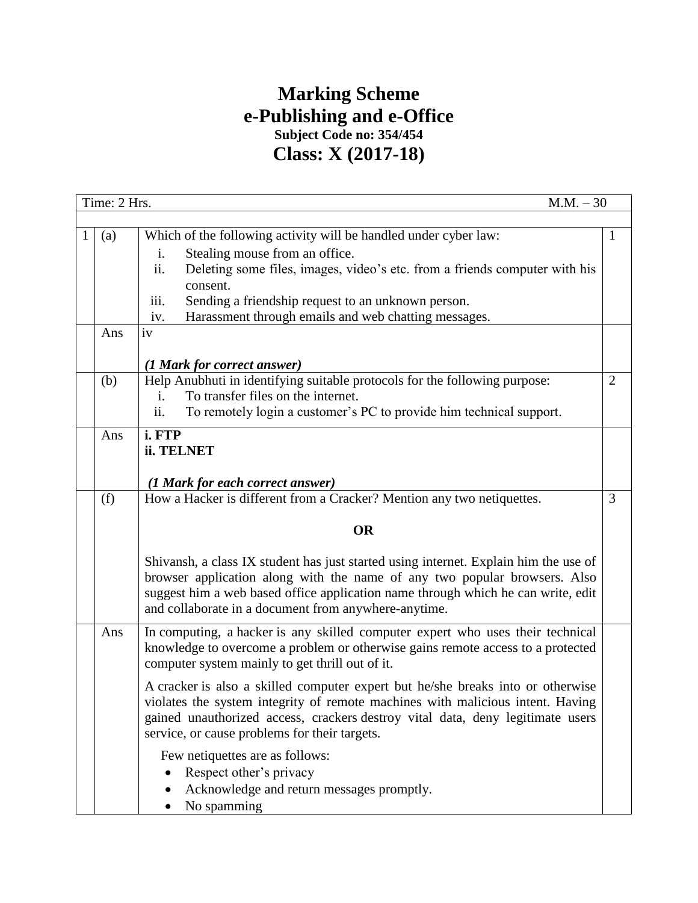## **Marking Scheme e-Publishing and e-Office Subject Code no: 354/454 Class: X (2017-18)**

|   | Time: 2 Hrs.<br>$M.M. - 30$ |                                                                                                                                                                                                                                                                                                               |                |  |  |
|---|-----------------------------|---------------------------------------------------------------------------------------------------------------------------------------------------------------------------------------------------------------------------------------------------------------------------------------------------------------|----------------|--|--|
|   |                             |                                                                                                                                                                                                                                                                                                               |                |  |  |
| 1 | (a)                         | Which of the following activity will be handled under cyber law:                                                                                                                                                                                                                                              | 1              |  |  |
|   |                             | Stealing mouse from an office.<br>i.                                                                                                                                                                                                                                                                          |                |  |  |
|   |                             | ii.<br>Deleting some files, images, video's etc. from a friends computer with his                                                                                                                                                                                                                             |                |  |  |
|   |                             | consent.                                                                                                                                                                                                                                                                                                      |                |  |  |
|   |                             | iii.<br>Sending a friendship request to an unknown person.                                                                                                                                                                                                                                                    |                |  |  |
|   |                             | Harassment through emails and web chatting messages.<br>iv.                                                                                                                                                                                                                                                   |                |  |  |
|   | Ans                         | iv                                                                                                                                                                                                                                                                                                            |                |  |  |
|   |                             |                                                                                                                                                                                                                                                                                                               |                |  |  |
|   |                             | (1 Mark for correct answer)                                                                                                                                                                                                                                                                                   | $\overline{2}$ |  |  |
|   | (b)                         | Help Anubhuti in identifying suitable protocols for the following purpose:<br>To transfer files on the internet.                                                                                                                                                                                              |                |  |  |
|   |                             | i.<br>ii.<br>To remotely login a customer's PC to provide him technical support.                                                                                                                                                                                                                              |                |  |  |
|   |                             |                                                                                                                                                                                                                                                                                                               |                |  |  |
|   | Ans                         | i. FTP                                                                                                                                                                                                                                                                                                        |                |  |  |
|   |                             | ii. TELNET                                                                                                                                                                                                                                                                                                    |                |  |  |
|   |                             |                                                                                                                                                                                                                                                                                                               |                |  |  |
|   |                             | (1 Mark for each correct answer)                                                                                                                                                                                                                                                                              |                |  |  |
|   | (f)                         | How a Hacker is different from a Cracker? Mention any two netiquettes.                                                                                                                                                                                                                                        | 3              |  |  |
|   |                             | <b>OR</b>                                                                                                                                                                                                                                                                                                     |                |  |  |
|   |                             | Shivansh, a class IX student has just started using internet. Explain him the use of<br>browser application along with the name of any two popular browsers. Also<br>suggest him a web based office application name through which he can write, edit<br>and collaborate in a document from anywhere-anytime. |                |  |  |
|   | Ans                         | In computing, a hacker is any skilled computer expert who uses their technical<br>knowledge to overcome a problem or otherwise gains remote access to a protected<br>computer system mainly to get thrill out of it.                                                                                          |                |  |  |
|   |                             | A cracker is also a skilled computer expert but he/she breaks into or otherwise<br>violates the system integrity of remote machines with malicious intent. Having<br>gained unauthorized access, crackers destroy vital data, deny legitimate users<br>service, or cause problems for their targets.          |                |  |  |
|   |                             | Few netiquettes are as follows:                                                                                                                                                                                                                                                                               |                |  |  |
|   |                             | Respect other's privacy                                                                                                                                                                                                                                                                                       |                |  |  |
|   |                             | Acknowledge and return messages promptly.                                                                                                                                                                                                                                                                     |                |  |  |
|   |                             | No spamming                                                                                                                                                                                                                                                                                                   |                |  |  |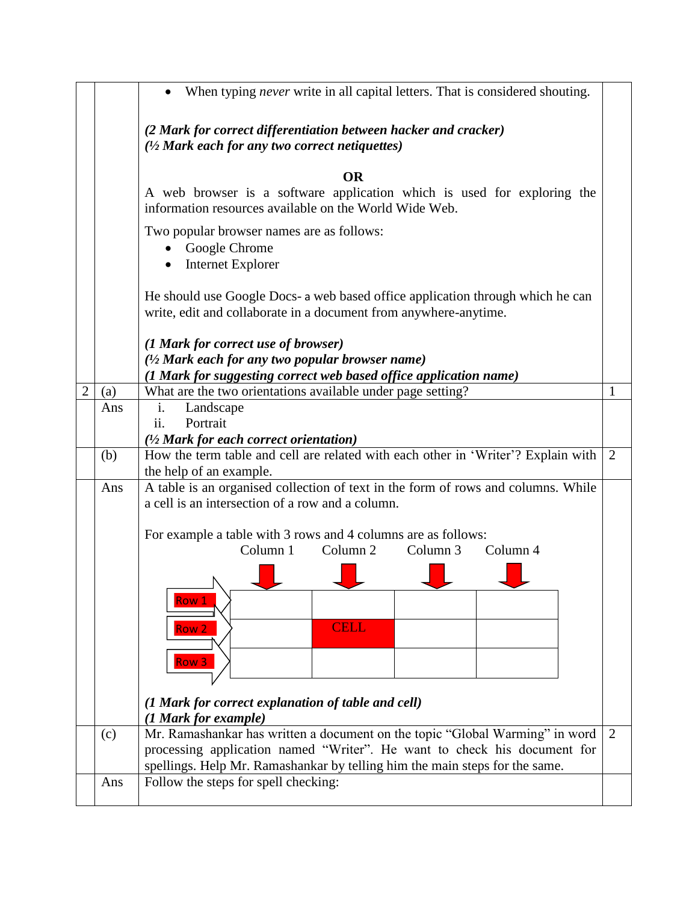|   |     | When typing <i>never</i> write in all capital letters. That is considered shouting.<br>$\bullet$                                                   |   |
|---|-----|----------------------------------------------------------------------------------------------------------------------------------------------------|---|
|   |     | (2 Mark for correct differentiation between hacker and cracker)<br>$\frac{1}{2}$ Mark each for any two correct netiquettes)                        |   |
|   |     | <b>OR</b>                                                                                                                                          |   |
|   |     | A web browser is a software application which is used for exploring the<br>information resources available on the World Wide Web.                  |   |
|   |     | Two popular browser names are as follows:<br>Google Chrome<br>Internet Explorer<br>$\bullet$                                                       |   |
|   |     | He should use Google Docs- a web based office application through which he can<br>write, edit and collaborate in a document from anywhere-anytime. |   |
|   |     | (1 Mark for correct use of browser)                                                                                                                |   |
|   |     | (1/2 Mark each for any two popular browser name)                                                                                                   |   |
|   |     | (1 Mark for suggesting correct web based office application name)                                                                                  |   |
| 2 | (a) | What are the two orientations available under page setting?<br>$\mathbf{i}$ .                                                                      | 1 |
|   | Ans | Landscape<br>ii.<br>Portrait                                                                                                                       |   |
|   |     | $(1/2)$ Mark for each correct orientation)                                                                                                         |   |
|   | (b) | How the term table and cell are related with each other in 'Writer'? Explain with                                                                  | 2 |
|   |     | the help of an example.                                                                                                                            |   |
|   | Ans | A table is an organised collection of text in the form of rows and columns. While<br>a cell is an intersection of a row and a column.              |   |
|   |     | For example a table with 3 rows and 4 columns are as follows:                                                                                      |   |
|   |     | Column 1<br>Column <sub>2</sub><br>Column 3<br>Column 4                                                                                            |   |
|   |     |                                                                                                                                                    |   |
|   |     | Row 1                                                                                                                                              |   |
|   |     | <b>CELL</b>                                                                                                                                        |   |
|   |     | Row <sub>2</sub>                                                                                                                                   |   |
|   |     | Row <sub>3</sub>                                                                                                                                   |   |
|   |     |                                                                                                                                                    |   |
|   |     |                                                                                                                                                    |   |
|   |     | (1 Mark for correct explanation of table and cell)<br>(1 Mark for example)                                                                         |   |
|   | (c) | Mr. Ramashankar has written a document on the topic "Global Warming" in word                                                                       | 2 |
|   |     | processing application named "Writer". He want to check his document for                                                                           |   |
|   |     | spellings. Help Mr. Ramashankar by telling him the main steps for the same.                                                                        |   |
|   | Ans | Follow the steps for spell checking:                                                                                                               |   |
|   |     |                                                                                                                                                    |   |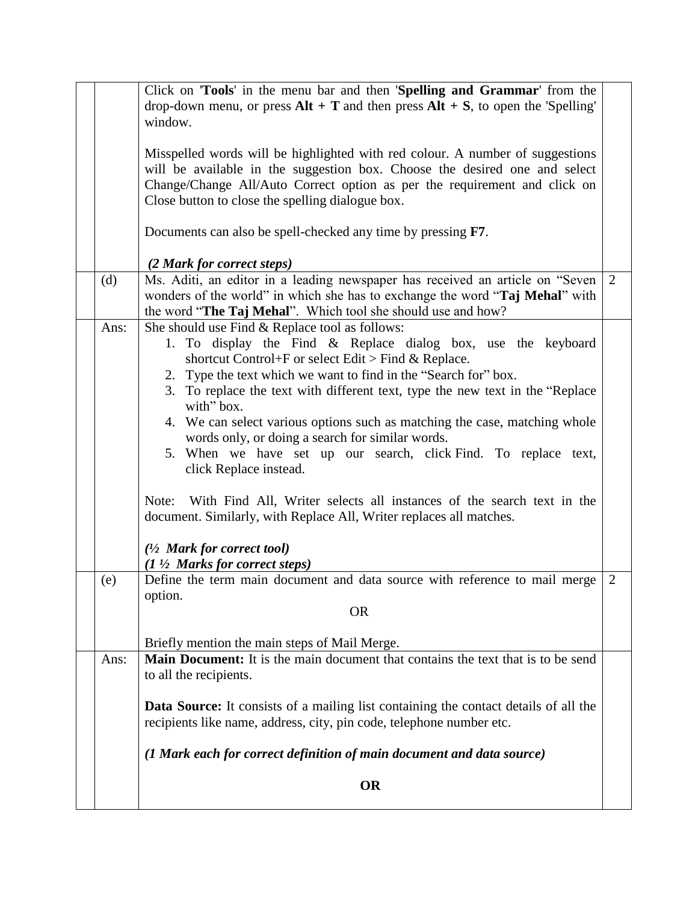|      | Click on 'Tools' in the menu bar and then 'Spelling and Grammar' from the<br>drop-down menu, or press $Alt + T$ and then press $Alt + S$ , to open the 'Spelling'<br>window.                                                                                                                                                                                                                                                                                                                                                                                                                                                                                                                                                                                                                                    |   |
|------|-----------------------------------------------------------------------------------------------------------------------------------------------------------------------------------------------------------------------------------------------------------------------------------------------------------------------------------------------------------------------------------------------------------------------------------------------------------------------------------------------------------------------------------------------------------------------------------------------------------------------------------------------------------------------------------------------------------------------------------------------------------------------------------------------------------------|---|
|      | Misspelled words will be highlighted with red colour. A number of suggestions<br>will be available in the suggestion box. Choose the desired one and select<br>Change/Change All/Auto Correct option as per the requirement and click on<br>Close button to close the spelling dialogue box.                                                                                                                                                                                                                                                                                                                                                                                                                                                                                                                    |   |
|      | Documents can also be spell-checked any time by pressing F7.                                                                                                                                                                                                                                                                                                                                                                                                                                                                                                                                                                                                                                                                                                                                                    |   |
| (d)  | (2 Mark for correct steps)<br>Ms. Aditi, an editor in a leading newspaper has received an article on "Seven<br>wonders of the world" in which she has to exchange the word "Taj Mehal" with<br>the word "The Taj Mehal". Which tool she should use and how?                                                                                                                                                                                                                                                                                                                                                                                                                                                                                                                                                     | 2 |
| Ans: | She should use Find & Replace tool as follows:<br>1. To display the Find & Replace dialog box, use the keyboard<br>shortcut Control+F or select Edit > Find & Replace.<br>2. Type the text which we want to find in the "Search for" box.<br>3. To replace the text with different text, type the new text in the "Replace"<br>with" box.<br>4. We can select various options such as matching the case, matching whole<br>words only, or doing a search for similar words.<br>5. When we have set up our search, click Find. To replace text,<br>click Replace instead.<br>With Find All, Writer selects all instances of the search text in the<br>Note:<br>document. Similarly, with Replace All, Writer replaces all matches.<br>$(1/2$ Mark for correct tool)<br>$(1 \frac{1}{2}$ Marks for correct steps) |   |
| (e)  | Define the term main document and data source with reference to mail merge<br>option.<br><b>OR</b>                                                                                                                                                                                                                                                                                                                                                                                                                                                                                                                                                                                                                                                                                                              | 2 |
|      | Briefly mention the main steps of Mail Merge.                                                                                                                                                                                                                                                                                                                                                                                                                                                                                                                                                                                                                                                                                                                                                                   |   |
| Ans: | <b>Main Document:</b> It is the main document that contains the text that is to be send<br>to all the recipients.                                                                                                                                                                                                                                                                                                                                                                                                                                                                                                                                                                                                                                                                                               |   |
|      | <b>Data Source:</b> It consists of a mailing list containing the contact details of all the<br>recipients like name, address, city, pin code, telephone number etc.                                                                                                                                                                                                                                                                                                                                                                                                                                                                                                                                                                                                                                             |   |
|      | (1 Mark each for correct definition of main document and data source)                                                                                                                                                                                                                                                                                                                                                                                                                                                                                                                                                                                                                                                                                                                                           |   |
|      | <b>OR</b>                                                                                                                                                                                                                                                                                                                                                                                                                                                                                                                                                                                                                                                                                                                                                                                                       |   |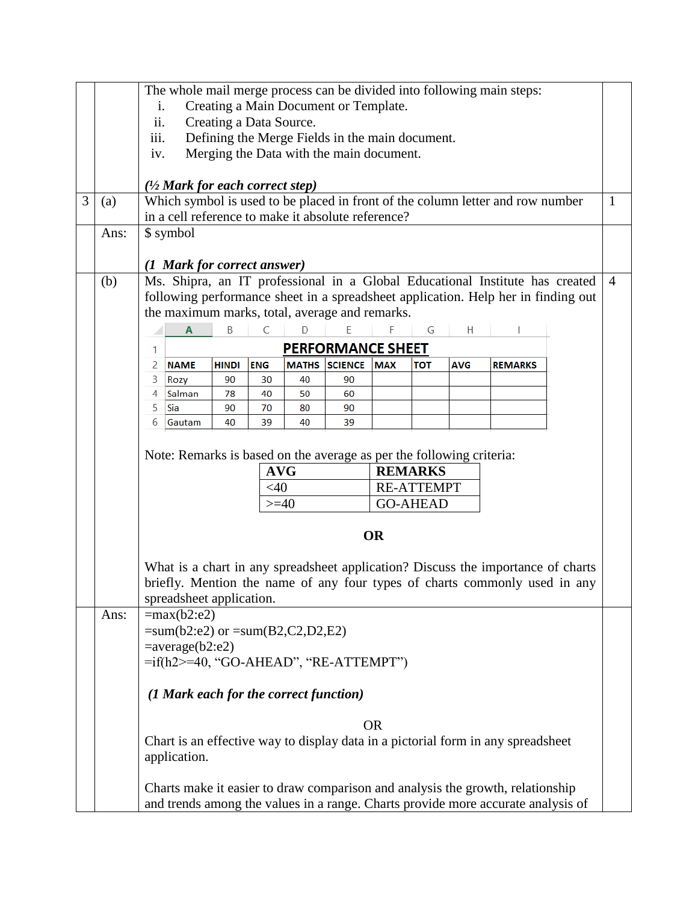|                                                         | The whole mail merge process can be divided into following main steps: |                                                                                                                                     |                                        |              |            |          |                                                                      |            |                   |            |                                                                                  |  |                |
|---------------------------------------------------------|------------------------------------------------------------------------|-------------------------------------------------------------------------------------------------------------------------------------|----------------------------------------|--------------|------------|----------|----------------------------------------------------------------------|------------|-------------------|------------|----------------------------------------------------------------------------------|--|----------------|
|                                                         | Creating a Main Document or Template.<br>i.                            |                                                                                                                                     |                                        |              |            |          |                                                                      |            |                   |            |                                                                                  |  |                |
|                                                         | ii.<br>Creating a Data Source.                                         |                                                                                                                                     |                                        |              |            |          |                                                                      |            |                   |            |                                                                                  |  |                |
| iii.<br>Defining the Merge Fields in the main document. |                                                                        |                                                                                                                                     |                                        |              |            |          |                                                                      |            |                   |            |                                                                                  |  |                |
|                                                         |                                                                        | iv.                                                                                                                                 |                                        |              |            |          | Merging the Data with the main document.                             |            |                   |            |                                                                                  |  |                |
|                                                         |                                                                        |                                                                                                                                     |                                        |              |            |          |                                                                      |            |                   |            |                                                                                  |  |                |
|                                                         |                                                                        | $(1/2$ Mark for each correct step)                                                                                                  |                                        |              |            |          |                                                                      |            |                   |            |                                                                                  |  |                |
| 3                                                       | (a)                                                                    |                                                                                                                                     |                                        |              |            |          |                                                                      |            |                   |            | Which symbol is used to be placed in front of the column letter and row number   |  | $\mathbf{1}$   |
|                                                         |                                                                        |                                                                                                                                     |                                        |              |            |          | in a cell reference to make it absolute reference?                   |            |                   |            |                                                                                  |  |                |
|                                                         | Ans:                                                                   |                                                                                                                                     | \$ symbol                              |              |            |          |                                                                      |            |                   |            |                                                                                  |  |                |
|                                                         |                                                                        |                                                                                                                                     |                                        |              |            |          |                                                                      |            |                   |            |                                                                                  |  |                |
|                                                         |                                                                        |                                                                                                                                     | (1 Mark for correct answer)            |              |            |          |                                                                      |            |                   |            |                                                                                  |  | $\overline{4}$ |
|                                                         | (b)                                                                    | Ms. Shipra, an IT professional in a Global Educational Institute has created                                                        |                                        |              |            |          |                                                                      |            |                   |            |                                                                                  |  |                |
|                                                         |                                                                        | following performance sheet in a spreadsheet application. Help her in finding out<br>the maximum marks, total, average and remarks. |                                        |              |            |          |                                                                      |            |                   |            |                                                                                  |  |                |
|                                                         |                                                                        |                                                                                                                                     |                                        |              | C          | D        |                                                                      |            |                   |            |                                                                                  |  |                |
|                                                         |                                                                        |                                                                                                                                     | $\overline{A}$                         | B            |            |          | E                                                                    |            | G                 | H          |                                                                                  |  |                |
|                                                         |                                                                        | 1                                                                                                                                   |                                        |              |            |          | <b>PERFORMANCE SHEET</b>                                             |            |                   |            |                                                                                  |  |                |
|                                                         |                                                                        | 2                                                                                                                                   | <b>NAME</b>                            | <b>HINDI</b> | <b>ENG</b> |          | <b>MATHS SCIENCE</b>                                                 | <b>MAX</b> | <b>TOT</b>        | <b>AVG</b> | <b>REMARKS</b>                                                                   |  |                |
|                                                         |                                                                        | 3<br>4                                                                                                                              | Rozy<br>Salman                         | 90<br>78     | 30<br>40   | 40<br>50 | 90<br>60                                                             |            |                   |            |                                                                                  |  |                |
|                                                         |                                                                        | 5                                                                                                                                   | Sia                                    | 90           | 70         | 80       | 90                                                                   |            |                   |            |                                                                                  |  |                |
|                                                         |                                                                        | 6                                                                                                                                   | Gautam                                 | 40           | 39         | 40       | 39                                                                   |            |                   |            |                                                                                  |  |                |
|                                                         |                                                                        |                                                                                                                                     |                                        |              |            |          |                                                                      |            |                   |            |                                                                                  |  |                |
|                                                         |                                                                        |                                                                                                                                     |                                        |              |            |          | Note: Remarks is based on the average as per the following criteria: |            |                   |            |                                                                                  |  |                |
|                                                         |                                                                        |                                                                                                                                     |                                        |              | <b>AVG</b> |          |                                                                      |            | <b>REMARKS</b>    |            |                                                                                  |  |                |
|                                                         |                                                                        |                                                                                                                                     |                                        |              | $<$ 40     |          |                                                                      |            | <b>RE-ATTEMPT</b> |            |                                                                                  |  |                |
|                                                         |                                                                        |                                                                                                                                     |                                        |              | $>=$ 40    |          |                                                                      |            | <b>GO-AHEAD</b>   |            |                                                                                  |  |                |
|                                                         |                                                                        |                                                                                                                                     |                                        |              |            |          |                                                                      |            |                   |            |                                                                                  |  |                |
|                                                         |                                                                        |                                                                                                                                     |                                        |              |            |          |                                                                      | <b>OR</b>  |                   |            |                                                                                  |  |                |
|                                                         |                                                                        |                                                                                                                                     |                                        |              |            |          |                                                                      |            |                   |            |                                                                                  |  |                |
|                                                         |                                                                        |                                                                                                                                     |                                        |              |            |          |                                                                      |            |                   |            | What is a chart in any spreadsheet application? Discuss the importance of charts |  |                |
|                                                         |                                                                        |                                                                                                                                     |                                        |              |            |          |                                                                      |            |                   |            | briefly. Mention the name of any four types of charts commonly used in any       |  |                |
|                                                         |                                                                        |                                                                                                                                     |                                        |              |            |          |                                                                      |            |                   |            |                                                                                  |  |                |
| spreadsheet application.<br>Ans:<br>$=max(b2:e2)$       |                                                                        |                                                                                                                                     |                                        |              |            |          |                                                                      |            |                   |            |                                                                                  |  |                |
|                                                         |                                                                        |                                                                                                                                     | $= sum(b2:e2)$ or $= sum(B2,C2,D2,E2)$ |              |            |          |                                                                      |            |                   |            |                                                                                  |  |                |
|                                                         |                                                                        |                                                                                                                                     | $= average(b2:e2)$                     |              |            |          |                                                                      |            |                   |            |                                                                                  |  |                |
|                                                         |                                                                        |                                                                                                                                     |                                        |              |            |          | $=$ if(h2> $=$ 40, "GO-AHEAD", "RE-ATTEMPT")                         |            |                   |            |                                                                                  |  |                |
|                                                         |                                                                        |                                                                                                                                     |                                        |              |            |          |                                                                      |            |                   |            |                                                                                  |  |                |
|                                                         |                                                                        |                                                                                                                                     | (1 Mark each for the correct function) |              |            |          |                                                                      |            |                   |            |                                                                                  |  |                |
|                                                         |                                                                        |                                                                                                                                     |                                        |              |            |          |                                                                      |            |                   |            |                                                                                  |  |                |
|                                                         |                                                                        |                                                                                                                                     |                                        |              |            |          |                                                                      | <b>OR</b>  |                   |            |                                                                                  |  |                |
|                                                         |                                                                        |                                                                                                                                     |                                        |              |            |          |                                                                      |            |                   |            | Chart is an effective way to display data in a pictorial form in any spreadsheet |  |                |
|                                                         |                                                                        |                                                                                                                                     | application.                           |              |            |          |                                                                      |            |                   |            |                                                                                  |  |                |
|                                                         |                                                                        |                                                                                                                                     |                                        |              |            |          |                                                                      |            |                   |            |                                                                                  |  |                |
|                                                         |                                                                        |                                                                                                                                     |                                        |              |            |          |                                                                      |            |                   |            | Charts make it easier to draw comparison and analysis the growth, relationship   |  |                |
|                                                         |                                                                        |                                                                                                                                     |                                        |              |            |          |                                                                      |            |                   |            | and trends among the values in a range. Charts provide more accurate analysis of |  |                |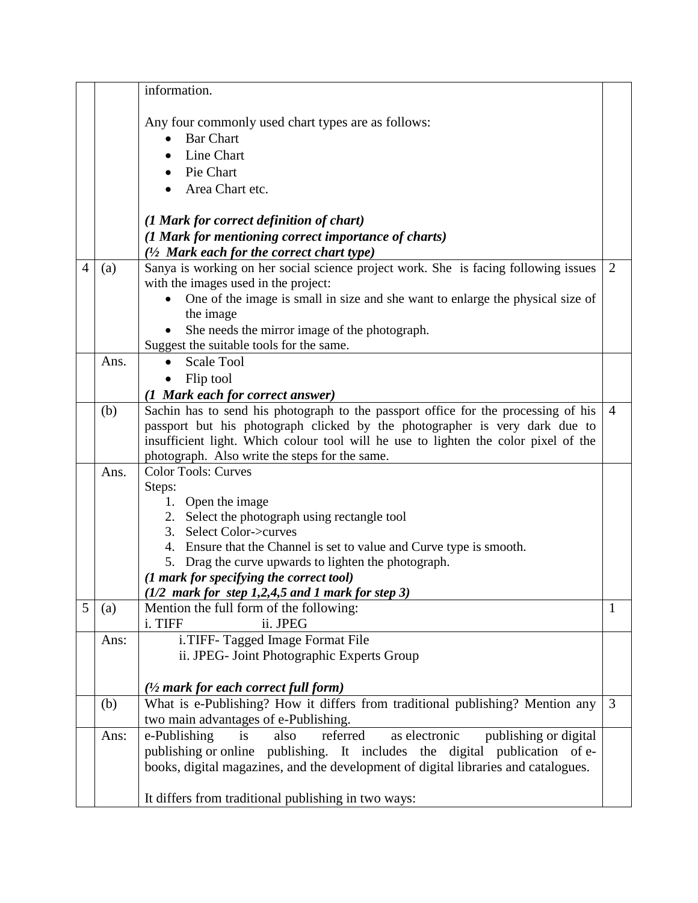|   |      | information.                                                                                                                 |                |
|---|------|------------------------------------------------------------------------------------------------------------------------------|----------------|
|   |      |                                                                                                                              |                |
|   |      | Any four commonly used chart types are as follows:                                                                           |                |
|   |      | <b>Bar Chart</b>                                                                                                             |                |
|   |      | Line Chart                                                                                                                   |                |
|   |      | Pie Chart                                                                                                                    |                |
|   |      | Area Chart etc.                                                                                                              |                |
|   |      |                                                                                                                              |                |
|   |      | (1 Mark for correct definition of chart)                                                                                     |                |
|   |      | (1 Mark for mentioning correct importance of charts)                                                                         |                |
|   |      | (1/2 Mark each for the correct chart type)                                                                                   |                |
| 4 | (a)  | Sanya is working on her social science project work. She is facing following issues                                          | $\overline{2}$ |
|   |      | with the images used in the project:                                                                                         |                |
|   |      | One of the image is small in size and she want to enlarge the physical size of                                               |                |
|   |      | the image                                                                                                                    |                |
|   |      | She needs the mirror image of the photograph.                                                                                |                |
|   |      | Suggest the suitable tools for the same.                                                                                     |                |
|   | Ans. | <b>Scale Tool</b>                                                                                                            |                |
|   |      | Flip tool                                                                                                                    |                |
|   |      | (1 Mark each for correct answer)                                                                                             |                |
|   | (b)  | Sachin has to send his photograph to the passport office for the processing of his                                           | $\overline{4}$ |
|   |      | passport but his photograph clicked by the photographer is very dark due to                                                  |                |
|   |      | insufficient light. Which colour tool will he use to lighten the color pixel of the                                          |                |
|   |      | photograph. Also write the steps for the same.                                                                               |                |
|   | Ans. | <b>Color Tools: Curves</b>                                                                                                   |                |
|   |      | Steps:                                                                                                                       |                |
|   |      | 1. Open the image                                                                                                            |                |
|   |      | 2. Select the photograph using rectangle tool                                                                                |                |
|   |      | Select Color->curves<br>3.                                                                                                   |                |
|   |      | 4. Ensure that the Channel is set to value and Curve type is smooth.<br>5. Drag the curve upwards to lighten the photograph. |                |
|   |      | (1 mark for specifying the correct tool)                                                                                     |                |
|   |      | $(1/2$ mark for step 1,2,4,5 and 1 mark for step 3)                                                                          |                |
| 5 | (a)  | Mention the full form of the following:                                                                                      | $\mathbf{1}$   |
|   |      | i. TIFF<br>ii. JPEG                                                                                                          |                |
|   | Ans: | i. TIFF-Tagged Image Format File                                                                                             |                |
|   |      | ii. JPEG- Joint Photographic Experts Group                                                                                   |                |
|   |      |                                                                                                                              |                |
|   |      | $\frac{1}{2}$ mark for each correct full form)                                                                               |                |
|   | (b)  | What is e-Publishing? How it differs from traditional publishing? Mention any                                                | 3              |
|   |      | two main advantages of e-Publishing.                                                                                         |                |
|   | Ans: | as electronic<br>referred<br>e-Publishing<br>publishing or digital<br>also<br>is                                             |                |
|   |      | publishing or online publishing. It includes the digital publication of e-                                                   |                |
|   |      | books, digital magazines, and the development of digital libraries and catalogues.                                           |                |
|   |      |                                                                                                                              |                |
|   |      | It differs from traditional publishing in two ways:                                                                          |                |